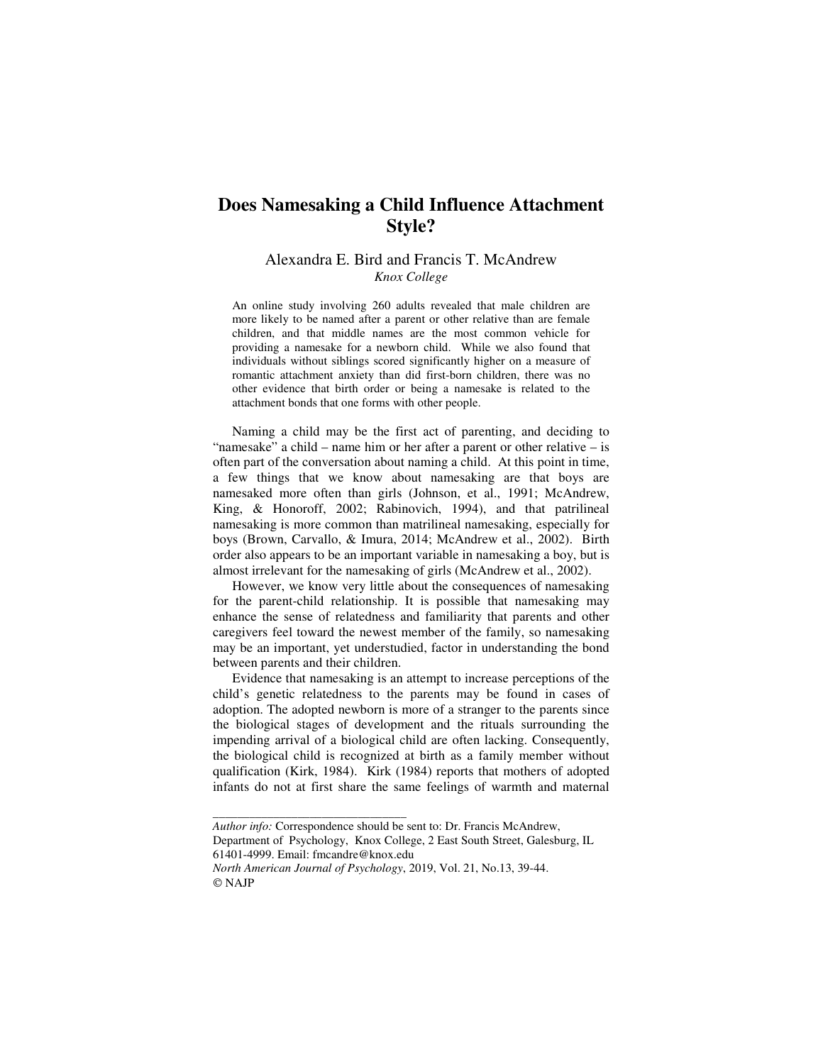# **Does Namesaking a Child Influence Attachment Style?**

# Alexandra E. Bird and Francis T. McAndrew *Knox College*

An online study involving 260 adults revealed that male children are more likely to be named after a parent or other relative than are female children, and that middle names are the most common vehicle for providing a namesake for a newborn child. While we also found that individuals without siblings scored significantly higher on a measure of romantic attachment anxiety than did first-born children, there was no other evidence that birth order or being a namesake is related to the attachment bonds that one forms with other people.

Naming a child may be the first act of parenting, and deciding to "namesake" a child – name him or her after a parent or other relative – is often part of the conversation about naming a child. At this point in time, a few things that we know about namesaking are that boys are namesaked more often than girls (Johnson, et al., 1991; McAndrew, King, & Honoroff, 2002; Rabinovich, 1994), and that patrilineal namesaking is more common than matrilineal namesaking, especially for boys (Brown, Carvallo, & Imura, 2014; McAndrew et al., 2002). Birth order also appears to be an important variable in namesaking a boy, but is almost irrelevant for the namesaking of girls (McAndrew et al., 2002).

However, we know very little about the consequences of namesaking for the parent-child relationship. It is possible that namesaking may enhance the sense of relatedness and familiarity that parents and other caregivers feel toward the newest member of the family, so namesaking may be an important, yet understudied, factor in understanding the bond between parents and their children.

Evidence that namesaking is an attempt to increase perceptions of the child's genetic relatedness to the parents may be found in cases of adoption. The adopted newborn is more of a stranger to the parents since the biological stages of development and the rituals surrounding the impending arrival of a biological child are often lacking. Consequently, the biological child is recognized at birth as a family member without qualification (Kirk, 1984). Kirk (1984) reports that mothers of adopted infants do not at first share the same feelings of warmth and maternal

*\_\_\_\_\_\_\_\_\_\_\_\_\_\_\_\_\_\_\_\_\_\_\_\_\_\_\_\_\_\_\_\_* 

*Author info:* Correspondence should be sent to: Dr. Francis McAndrew,

Department of Psychology, Knox College, 2 East South Street, Galesburg, IL 61401-4999. Email: fmcandre@knox.edu

*North American Journal of Psychology*, 2019, Vol. 21, No.13, 39-44. © NAJP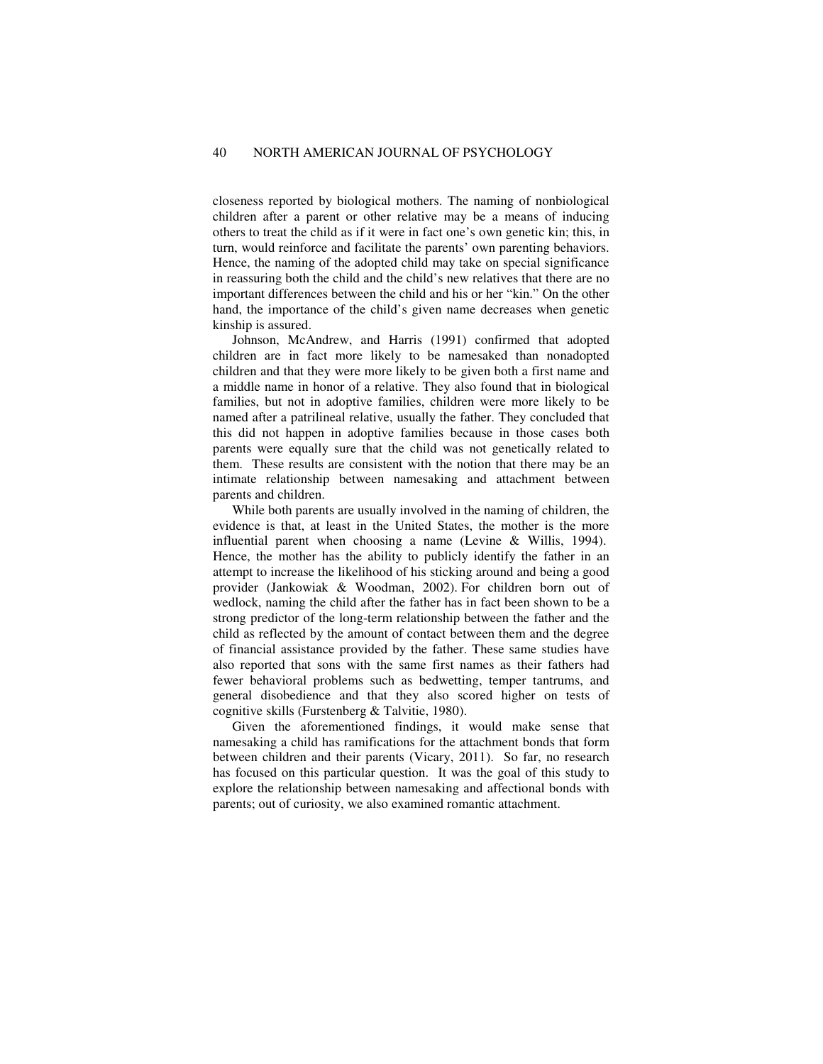closeness reported by biological mothers. The naming of nonbiological children after a parent or other relative may be a means of inducing others to treat the child as if it were in fact one's own genetic kin; this, in turn, would reinforce and facilitate the parents' own parenting behaviors. Hence, the naming of the adopted child may take on special significance in reassuring both the child and the child's new relatives that there are no important differences between the child and his or her "kin." On the other hand, the importance of the child's given name decreases when genetic kinship is assured.

Johnson, McAndrew, and Harris (1991) confirmed that adopted children are in fact more likely to be namesaked than nonadopted children and that they were more likely to be given both a first name and a middle name in honor of a relative. They also found that in biological families, but not in adoptive families, children were more likely to be named after a patrilineal relative, usually the father. They concluded that this did not happen in adoptive families because in those cases both parents were equally sure that the child was not genetically related to them. These results are consistent with the notion that there may be an intimate relationship between namesaking and attachment between parents and children.

While both parents are usually involved in the naming of children, the evidence is that, at least in the United States, the mother is the more influential parent when choosing a name (Levine & Willis, 1994). Hence, the mother has the ability to publicly identify the father in an attempt to increase the likelihood of his sticking around and being a good provider (Jankowiak & Woodman, 2002). For children born out of wedlock, naming the child after the father has in fact been shown to be a strong predictor of the long-term relationship between the father and the child as reflected by the amount of contact between them and the degree of financial assistance provided by the father. These same studies have also reported that sons with the same first names as their fathers had fewer behavioral problems such as bedwetting, temper tantrums, and general disobedience and that they also scored higher on tests of cognitive skills (Furstenberg & Talvitie, 1980).

Given the aforementioned findings, it would make sense that namesaking a child has ramifications for the attachment bonds that form between children and their parents (Vicary, 2011). So far, no research has focused on this particular question. It was the goal of this study to explore the relationship between namesaking and affectional bonds with parents; out of curiosity, we also examined romantic attachment.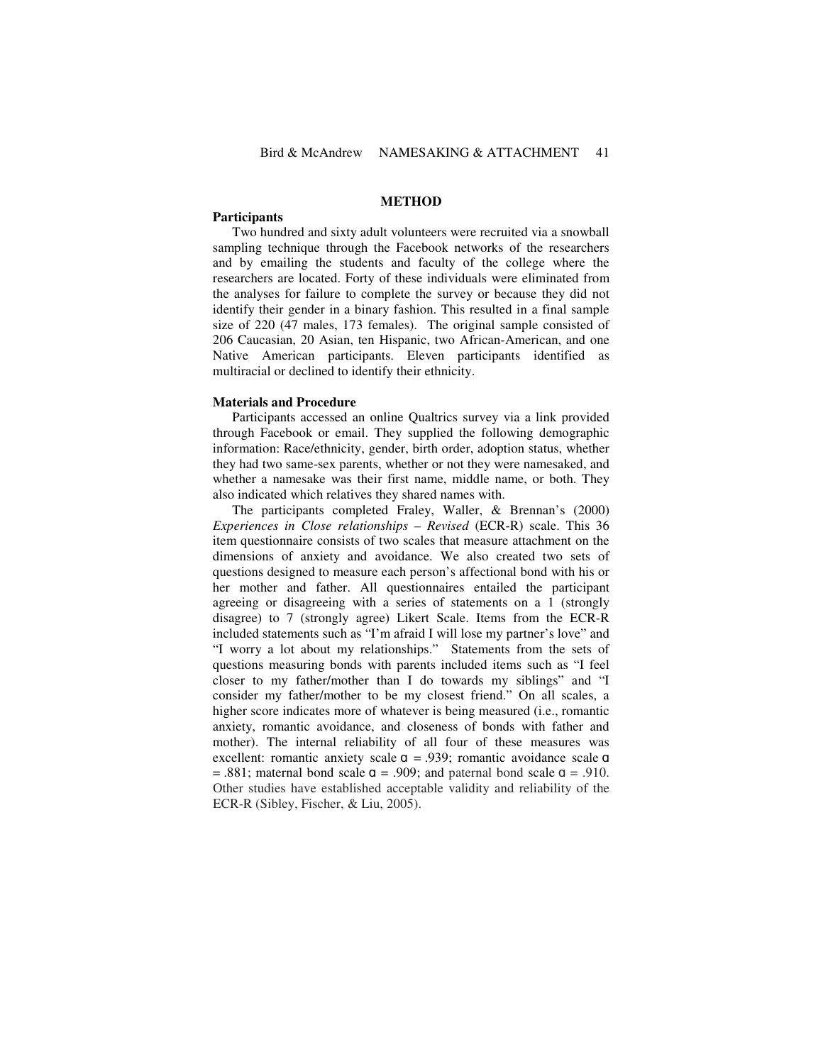# **METHOD**

# **Participants**

Two hundred and sixty adult volunteers were recruited via a snowball sampling technique through the Facebook networks of the researchers and by emailing the students and faculty of the college where the researchers are located. Forty of these individuals were eliminated from the analyses for failure to complete the survey or because they did not identify their gender in a binary fashion. This resulted in a final sample size of 220 (47 males, 173 females). The original sample consisted of 206 Caucasian, 20 Asian, ten Hispanic, two African-American, and one Native American participants. Eleven participants identified as multiracial or declined to identify their ethnicity.

#### **Materials and Procedure**

Participants accessed an online Qualtrics survey via a link provided through Facebook or email. They supplied the following demographic information: Race/ethnicity, gender, birth order, adoption status, whether they had two same-sex parents, whether or not they were namesaked, and whether a namesake was their first name, middle name, or both. They also indicated which relatives they shared names with.

The participants completed Fraley, Waller, & Brennan's (2000) *Experiences in Close relationships – Revised* (ECR-R) scale. This 36 item questionnaire consists of two scales that measure attachment on the dimensions of anxiety and avoidance. We also created two sets of questions designed to measure each person's affectional bond with his or her mother and father. All questionnaires entailed the participant agreeing or disagreeing with a series of statements on a 1 (strongly disagree) to 7 (strongly agree) Likert Scale. Items from the ECR-R included statements such as "I'm afraid I will lose my partner's love" and "I worry a lot about my relationships." Statements from the sets of questions measuring bonds with parents included items such as "I feel closer to my father/mother than I do towards my siblings" and "I consider my father/mother to be my closest friend." On all scales, a higher score indicates more of whatever is being measured (i.e., romantic anxiety, romantic avoidance, and closeness of bonds with father and mother). The internal reliability of all four of these measures was excellent: romantic anxiety scale  $\alpha$  = .939; romantic avoidance scale  $\alpha$  $= .881$ ; maternal bond scale  $\sigma = .909$ ; and paternal bond scale  $\sigma = .910$ . Other studies have established acceptable validity and reliability of the ECR-R (Sibley, Fischer, & Liu, 2005).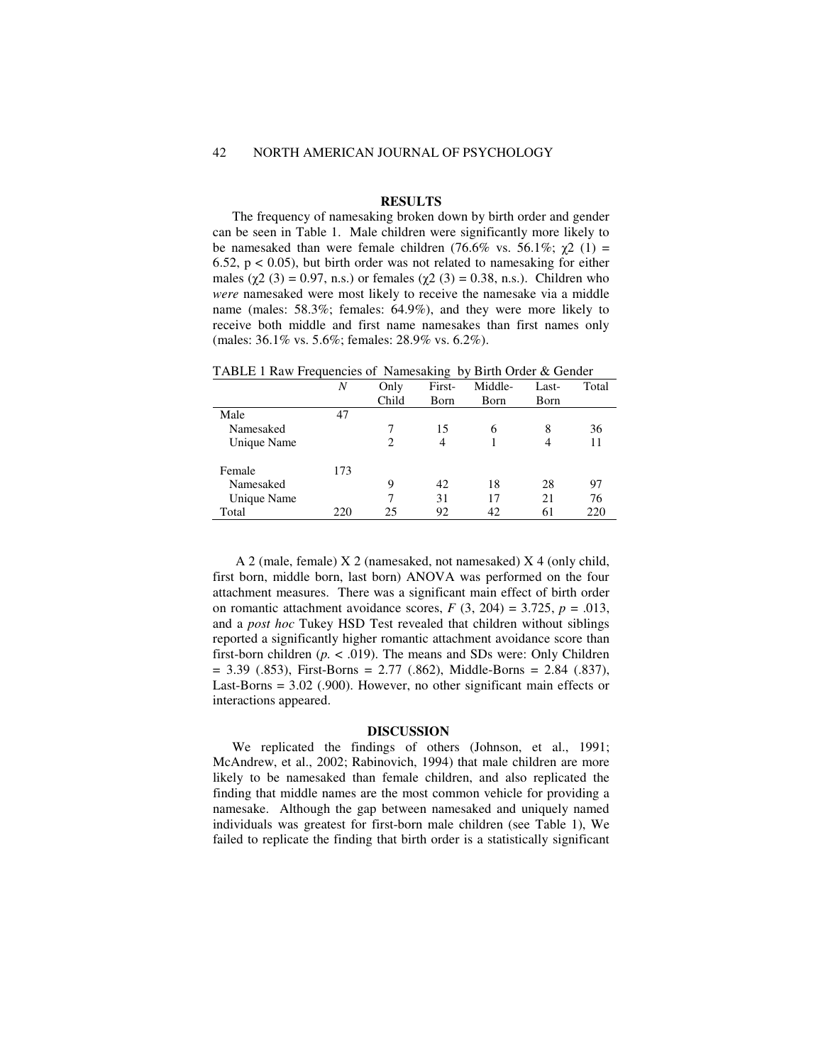# **RESULTS**

The frequency of namesaking broken down by birth order and gender can be seen in Table 1. Male children were significantly more likely to be namesaked than were female children (76.6% vs. 56.1%;  $\gamma$ 2 (1) = 6.52,  $p < 0.05$ ), but birth order was not related to namesaking for either males ( $χ$ 2 (3) = 0.97, n.s.) or females ( $χ$ 2 (3) = 0.38, n.s.). Children who *were* namesaked were most likely to receive the namesake via a middle name (males: 58.3%; females: 64.9%), and they were more likely to receive both middle and first name namesakes than first names only (males: 36.1% vs. 5.6%; females: 28.9% vs. 6.2%).

|             | Ν   | Only  | First- | Middle- | Last- | Total |
|-------------|-----|-------|--------|---------|-------|-------|
|             |     | Child | Born   | Born    | Born  |       |
| Male        | 47  |       |        |         |       |       |
| Namesaked   |     |       | 15     | 6       | 8     | 36    |
| Unique Name |     | 2     | 4      |         | 4     |       |
| Female      | 173 |       |        |         |       |       |
| Namesaked   |     | 9     | 42     | 18      | 28    | 97    |
| Unique Name |     |       | 31     | 17      | 21    | 76    |
| Total       | 220 | 25    | 92     | 42      | 61    | 220   |

TABLE 1 Raw Frequencies of Namesaking by Birth Order & Gender

 A 2 (male, female) X 2 (namesaked, not namesaked) X 4 (only child, first born, middle born, last born) ANOVA was performed on the four attachment measures. There was a significant main effect of birth order on romantic attachment avoidance scores,  $F(3, 204) = 3.725$ ,  $p = .013$ , and a *post hoc* Tukey HSD Test revealed that children without siblings reported a significantly higher romantic attachment avoidance score than first-born children  $(p. < .019)$ . The means and SDs were: Only Children  $= 3.39$  (.853), First-Borns  $= 2.77$  (.862), Middle-Borns  $= 2.84$  (.837), Last-Borns = 3.02 (.900). However, no other significant main effects or interactions appeared.

# **DISCUSSION**

We replicated the findings of others (Johnson, et al., 1991; McAndrew, et al., 2002; Rabinovich, 1994) that male children are more likely to be namesaked than female children, and also replicated the finding that middle names are the most common vehicle for providing a namesake. Although the gap between namesaked and uniquely named individuals was greatest for first-born male children (see Table 1), We failed to replicate the finding that birth order is a statistically significant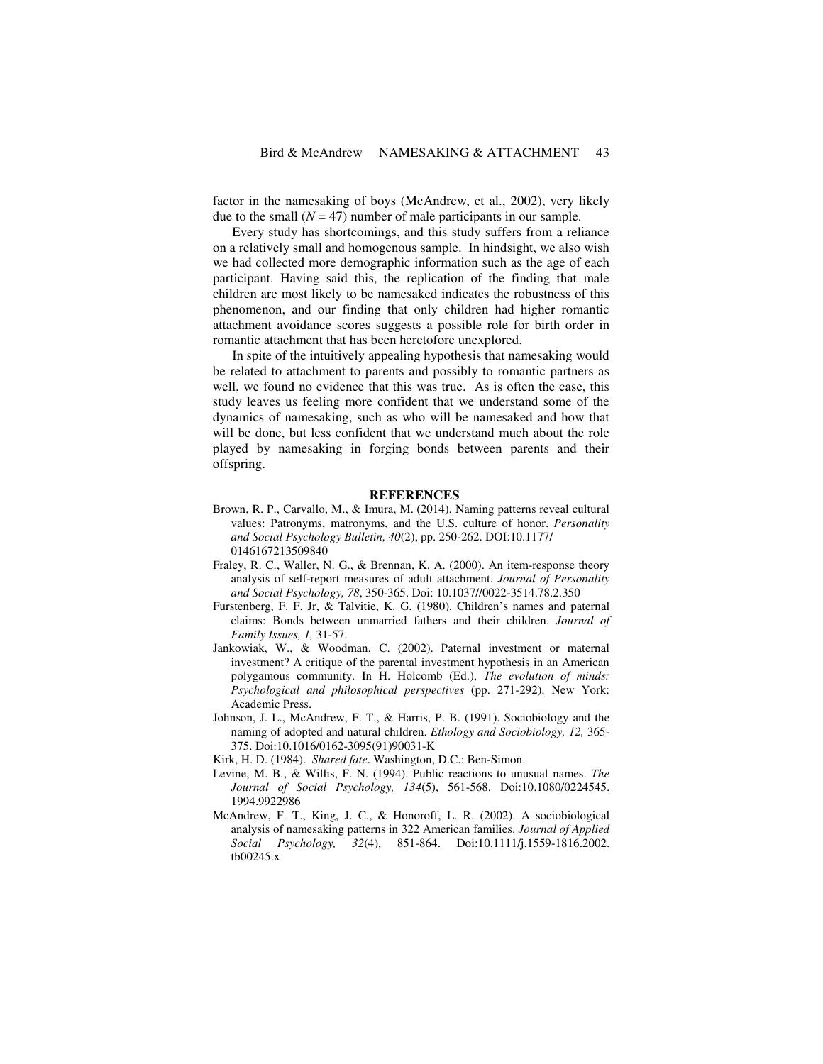factor in the namesaking of boys (McAndrew, et al., 2002), very likely due to the small  $(N = 47)$  number of male participants in our sample.

Every study has shortcomings, and this study suffers from a reliance on a relatively small and homogenous sample. In hindsight, we also wish we had collected more demographic information such as the age of each participant. Having said this, the replication of the finding that male children are most likely to be namesaked indicates the robustness of this phenomenon, and our finding that only children had higher romantic attachment avoidance scores suggests a possible role for birth order in romantic attachment that has been heretofore unexplored.

In spite of the intuitively appealing hypothesis that namesaking would be related to attachment to parents and possibly to romantic partners as well, we found no evidence that this was true. As is often the case, this study leaves us feeling more confident that we understand some of the dynamics of namesaking, such as who will be namesaked and how that will be done, but less confident that we understand much about the role played by namesaking in forging bonds between parents and their offspring.

## **REFERENCES**

- Brown, R. P., Carvallo, M., & Imura, M. (2014). Naming patterns reveal cultural values: Patronyms, matronyms, and the U.S. culture of honor. *Personality and Social Psychology Bulletin, 40*(2), pp. 250-262. DOI:10.1177/ 0146167213509840
- Fraley, R. C., Waller, N. G., & Brennan, K. A. (2000). An item-response theory analysis of self-report measures of adult attachment. *Journal of Personality and Social Psychology, 78*, 350-365. Doi: 10.1037//0022-3514.78.2.350
- Furstenberg, F. F. Jr, & Talvitie, K. G. (1980). Children's names and paternal claims: Bonds between unmarried fathers and their children. *Journal of Family Issues, 1,* 31-57.
- Jankowiak, W., & Woodman, C. (2002). Paternal investment or maternal investment? A critique of the parental investment hypothesis in an American polygamous community. In H. Holcomb (Ed.), *The evolution of minds: Psychological and philosophical perspectives* (pp. 271-292). New York: Academic Press.
- Johnson, J. L., McAndrew, F. T., & Harris, P. B. (1991). Sociobiology and the naming of adopted and natural children. *Ethology and Sociobiology, 12,* 365- 375. Doi:10.1016/0162-3095(91)90031-K
- Kirk, H. D. (1984). *Shared fate*. Washington, D.C.: Ben-Simon.
- Levine, M. B., & Willis, F. N. (1994). Public reactions to unusual names. *The Journal of Social Psychology, 134*(5), 561-568. Doi:10.1080/0224545. 1994.9922986
- McAndrew, F. T., King, J. C., & Honoroff, L. R. (2002). A sociobiological analysis of namesaking patterns in 322 American families. *Journal of Applied Social Psychology, 32*(4), 851-864. Doi:10.1111/j.1559-1816.2002. tb00245.x